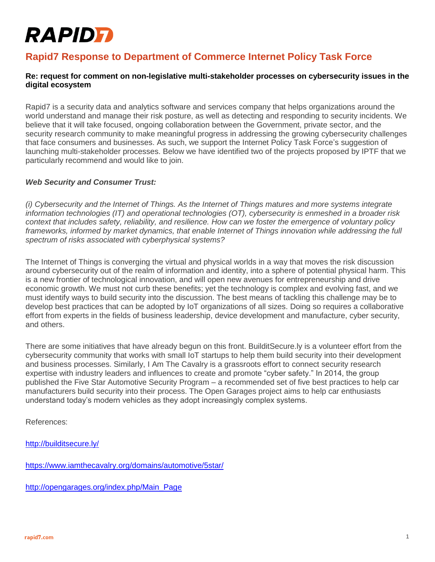# **RAPIDFI**

## **Rapid7 Response to Department of Commerce Internet Policy Task Force**

### **Re: request for comment on non-legislative multi-stakeholder processes on cybersecurity issues in the digital ecosystem**

Rapid7 is a security data and analytics software and services company that helps organizations around the world understand and manage their risk posture, as well as detecting and responding to security incidents. We believe that it will take focused, ongoing collaboration between the Government, private sector, and the security research community to make meaningful progress in addressing the growing cybersecurity challenges that face consumers and businesses. As such, we support the Internet Policy Task Force's suggestion of launching multi-stakeholder processes. Below we have identified two of the projects proposed by IPTF that we particularly recommend and would like to join.

### *Web Security and Consumer Trust:*

*(i) Cybersecurity and the Internet of Things. As the Internet of Things matures and more systems integrate information technologies (IT) and operational technologies (OT), cybersecurity is enmeshed in a broader risk context that includes safety, reliability, and resilience. How can we foster the emergence of voluntary policy frameworks, informed by market dynamics, that enable Internet of Things innovation while addressing the full spectrum of risks associated with cyberphysical systems?* 

The Internet of Things is converging the virtual and physical worlds in a way that moves the risk discussion around cybersecurity out of the realm of information and identity, into a sphere of potential physical harm. This is a new frontier of technological innovation, and will open new avenues for entrepreneurship and drive economic growth. We must not curb these benefits; yet the technology is complex and evolving fast, and we must identify ways to build security into the discussion. The best means of tackling this challenge may be to develop best practices that can be adopted by IoT organizations of all sizes. Doing so requires a collaborative effort from experts in the fields of business leadership, device development and manufacture, cyber security, and others.

There are some initiatives that have already begun on this front. BuilditSecure.ly is a volunteer effort from the cybersecurity community that works with small IoT startups to help them build security into their development and business processes. Similarly, I Am The Cavalry is a grassroots effort to connect security research expertise with industry leaders and influences to create and promote "cyber safety." In 2014, the group published the Five Star Automotive Security Program – a recommended set of five best practices to help car manufacturers build security into their process. The Open Garages project aims to help car enthusiasts understand today's modern vehicles as they adopt increasingly complex systems.

References:

<http://builditsecure.ly/>

<https://www.iamthecavalry.org/domains/automotive/5star/>

[http://opengarages.org/index.php/Main\\_Page](http://opengarages.org/index.php/Main_Page)